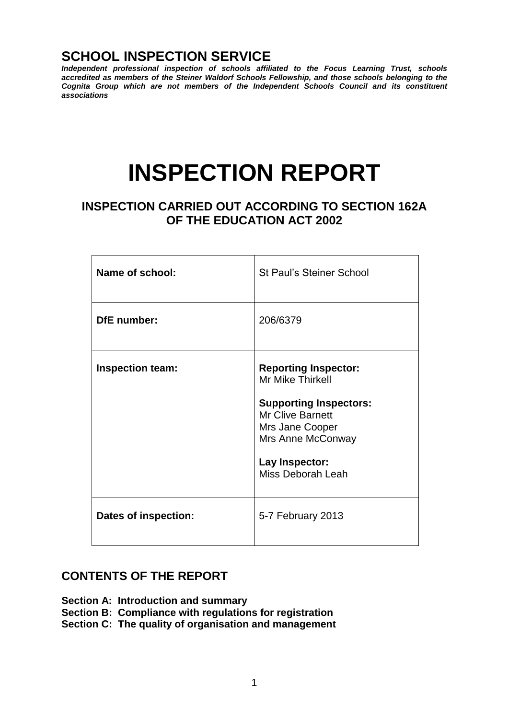# **SCHOOL INSPECTION SERVICE**

*Independent professional inspection of schools affiliated to the Focus Learning Trust, schools accredited as members of the Steiner Waldorf Schools Fellowship, and those schools belonging to the Cognita Group which are not members of the Independent Schools Council and its constituent associations*

# **INSPECTION REPORT**

## **INSPECTION CARRIED OUT ACCORDING TO SECTION 162A OF THE EDUCATION ACT 2002**

| <b>Name of school:</b>  | <b>St Paul's Steiner School</b>                                                                                                                                                            |
|-------------------------|--------------------------------------------------------------------------------------------------------------------------------------------------------------------------------------------|
| <b>DfE</b> number:      | 206/6379                                                                                                                                                                                   |
| <b>Inspection team:</b> | <b>Reporting Inspector:</b><br>Mr Mike Thirkell<br><b>Supporting Inspectors:</b><br><b>Mr Clive Barnett</b><br>Mrs Jane Cooper<br>Mrs Anne McConway<br>Lay Inspector:<br>Miss Deborah Leah |
| Dates of inspection:    | 5-7 February 2013                                                                                                                                                                          |

## **CONTENTS OF THE REPORT**

- **Section A: Introduction and summary**
- **Section B: Compliance with regulations for registration**
- **Section C: The quality of organisation and management**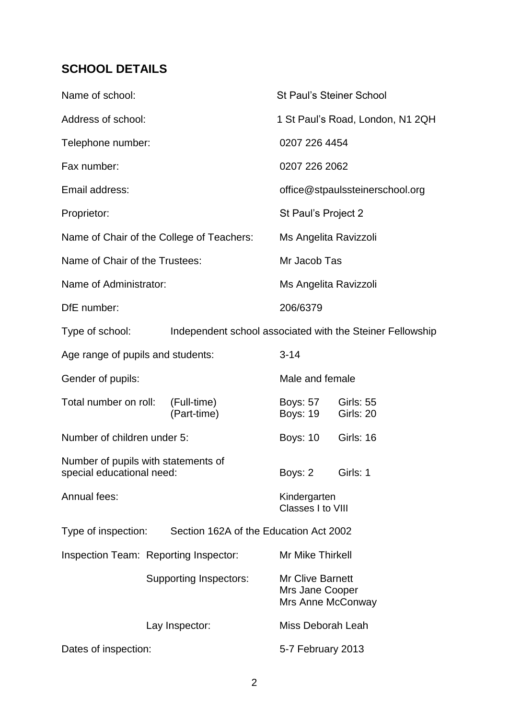# **SCHOOL DETAILS**

| Name of school:                                                  |                                        |                                                           | <b>St Paul's Steiner School</b>                                 |                               |
|------------------------------------------------------------------|----------------------------------------|-----------------------------------------------------------|-----------------------------------------------------------------|-------------------------------|
| Address of school:                                               |                                        |                                                           | 1 St Paul's Road, London, N1 2QH                                |                               |
| Telephone number:                                                |                                        |                                                           | 0207 226 4454                                                   |                               |
| Fax number:                                                      |                                        |                                                           | 0207 226 2062                                                   |                               |
| Email address:                                                   |                                        |                                                           | office@stpaulssteinerschool.org                                 |                               |
| Proprietor:                                                      |                                        |                                                           | St Paul's Project 2                                             |                               |
| Name of Chair of the College of Teachers:                        |                                        |                                                           | Ms Angelita Ravizzoli                                           |                               |
| Name of Chair of the Trustees:                                   |                                        |                                                           | Mr Jacob Tas                                                    |                               |
| Name of Administrator:                                           |                                        |                                                           | Ms Angelita Ravizzoli                                           |                               |
| DfE number:                                                      |                                        |                                                           | 206/6379                                                        |                               |
| Type of school:                                                  |                                        | Independent school associated with the Steiner Fellowship |                                                                 |                               |
| Age range of pupils and students:                                |                                        | $3 - 14$                                                  |                                                                 |                               |
| Gender of pupils:                                                |                                        |                                                           | Male and female                                                 |                               |
| Total number on roll:                                            |                                        | (Full-time)<br>(Part-time)                                | <b>Boys: 57</b><br><b>Boys: 19</b>                              | <b>Girls: 55</b><br>Girls: 20 |
| Number of children under 5:                                      |                                        |                                                           | <b>Boys: 10</b>                                                 | <b>Girls: 16</b>              |
| Number of pupils with statements of<br>special educational need: |                                        |                                                           | Boys: 2                                                         | Girls: 1                      |
| Annual fees:                                                     |                                        | Kindergarten<br>Classes I to VIII                         |                                                                 |                               |
| Type of inspection:                                              | Section 162A of the Education Act 2002 |                                                           |                                                                 |                               |
|                                                                  | Inspection Team: Reporting Inspector:  |                                                           | Mr Mike Thirkell                                                |                               |
|                                                                  |                                        | Supporting Inspectors:                                    | <b>Mr Clive Barnett</b><br>Mrs Jane Cooper<br>Mrs Anne McConway |                               |
|                                                                  |                                        | Lay Inspector:                                            | Miss Deborah Leah                                               |                               |
| Dates of inspection:                                             |                                        | 5-7 February 2013                                         |                                                                 |                               |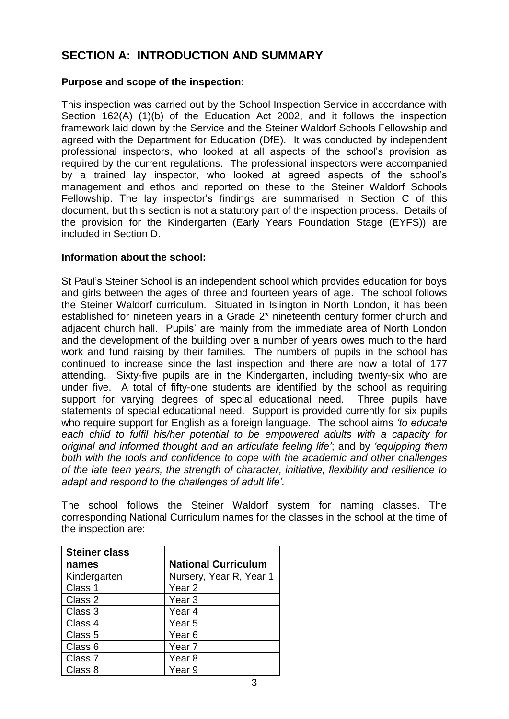# **SECTION A: INTRODUCTION AND SUMMARY**

## **Purpose and scope of the inspection:**

This inspection was carried out by the School Inspection Service in accordance with Section 162(A) (1)(b) of the Education Act 2002, and it follows the inspection framework laid down by the Service and the Steiner Waldorf Schools Fellowship and agreed with the Department for Education (DfE). It was conducted by independent professional inspectors, who looked at all aspects of the school's provision as required by the current regulations. The professional inspectors were accompanied by a trained lay inspector, who looked at agreed aspects of the school's management and ethos and reported on these to the Steiner Waldorf Schools Fellowship. The lay inspector's findings are summarised in Section C of this document, but this section is not a statutory part of the inspection process. Details of the provision for the Kindergarten (Early Years Foundation Stage (EYFS)) are included in Section D.

#### **Information about the school:**

St Paul's Steiner School is an independent school which provides education for boys and girls between the ages of three and fourteen years of age. The school follows the Steiner Waldorf curriculum. Situated in Islington in North London, it has been established for nineteen years in a Grade 2\* nineteenth century former church and adjacent church hall. Pupils' are mainly from the immediate area of North London and the development of the building over a number of years owes much to the hard work and fund raising by their families. The numbers of pupils in the school has continued to increase since the last inspection and there are now a total of 177 attending. Sixty-five pupils are in the Kindergarten, including twenty-six who are under five. A total of fifty-one students are identified by the school as requiring support for varying degrees of special educational need. Three pupils have statements of special educational need. Support is provided currently for six pupils who require support for English as a foreign language. The school aims *'to educate* each child to fulfil his/her potential to be empowered adults with a capacity for *original and informed thought and an articulate feeling life'*; and by *'equipping them both with the tools and confidence to cope with the academic and other challenges of the late teen years, the strength of character, initiative, flexibility and resilience to adapt and respond to the challenges of adult life'.*

The school follows the Steiner Waldorf system for naming classes. The corresponding National Curriculum names for the classes in the school at the time of the inspection are:

| <b>Steiner class</b> |                            |
|----------------------|----------------------------|
| names                | <b>National Curriculum</b> |
| Kindergarten         | Nursery, Year R, Year 1    |
| Class 1              | Year <sub>2</sub>          |
| Class 2              | Year <sub>3</sub>          |
| Class 3              | Year <sub>4</sub>          |
| Class 4              | Year 5                     |
| Class 5              | Year <sub>6</sub>          |
| Class 6              | Year <sub>7</sub>          |
| Class 7              | Year <sub>8</sub>          |
| Class 8              | Year <sub>9</sub>          |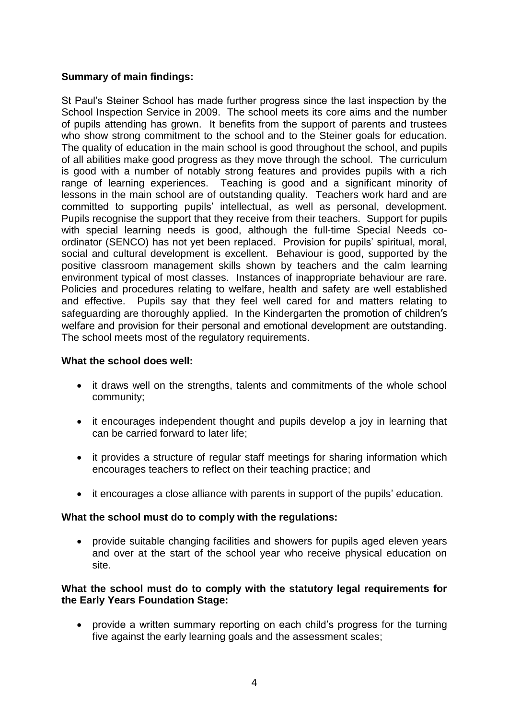## **Summary of main findings:**

St Paul's Steiner School has made further progress since the last inspection by the School Inspection Service in 2009. The school meets its core aims and the number of pupils attending has grown. It benefits from the support of parents and trustees who show strong commitment to the school and to the Steiner goals for education. The quality of education in the main school is good throughout the school, and pupils of all abilities make good progress as they move through the school. The curriculum is good with a number of notably strong features and provides pupils with a rich range of learning experiences. Teaching is good and a significant minority of lessons in the main school are of outstanding quality. Teachers work hard and are committed to supporting pupils' intellectual, as well as personal, development. Pupils recognise the support that they receive from their teachers. Support for pupils with special learning needs is good, although the full-time Special Needs coordinator (SENCO) has not yet been replaced. Provision for pupils' spiritual, moral, social and cultural development is excellent. Behaviour is good, supported by the positive classroom management skills shown by teachers and the calm learning environment typical of most classes. Instances of inappropriate behaviour are rare. Policies and procedures relating to welfare, health and safety are well established and effective. Pupils say that they feel well cared for and matters relating to safeguarding are thoroughly applied. In the Kindergarten the promotion of children's welfare and provision for their personal and emotional development are outstanding. The school meets most of the regulatory requirements.

## **What the school does well:**

- it draws well on the strengths, talents and commitments of the whole school community;
- it encourages independent thought and pupils develop a joy in learning that can be carried forward to later life;
- it provides a structure of regular staff meetings for sharing information which encourages teachers to reflect on their teaching practice; and
- it encourages a close alliance with parents in support of the pupils' education.

## **What the school must do to comply with the regulations:**

 provide suitable changing facilities and showers for pupils aged eleven years and over at the start of the school year who receive physical education on site.

## **What the school must do to comply with the statutory legal requirements for the Early Years Foundation Stage:**

 provide a written summary reporting on each child's progress for the turning five against the early learning goals and the assessment scales;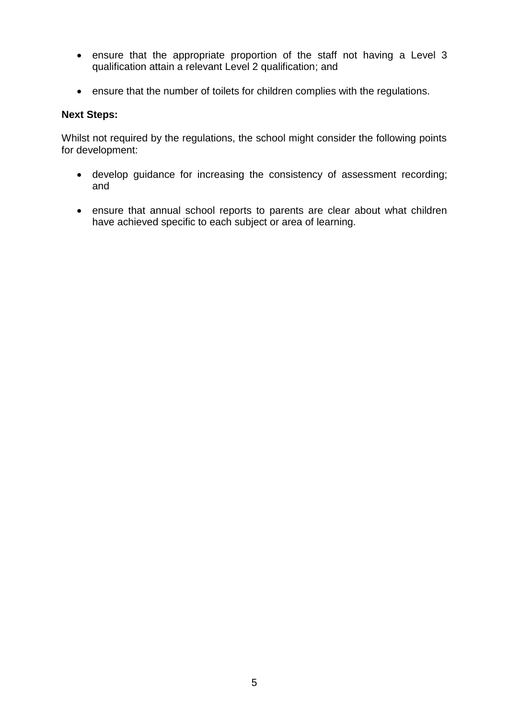- ensure that the appropriate proportion of the staff not having a Level 3 qualification attain a relevant Level 2 qualification; and
- ensure that the number of toilets for children complies with the regulations.

## **Next Steps:**

Whilst not required by the regulations, the school might consider the following points for development:

- develop guidance for increasing the consistency of assessment recording; and
- ensure that annual school reports to parents are clear about what children have achieved specific to each subject or area of learning.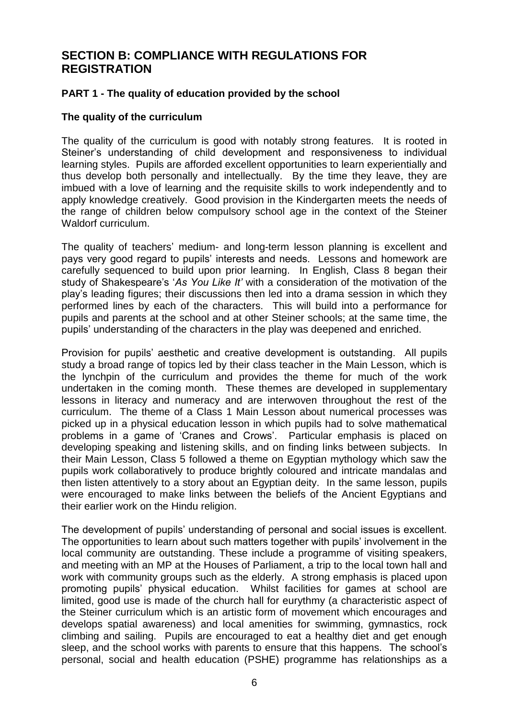## **SECTION B: COMPLIANCE WITH REGULATIONS FOR REGISTRATION**

## **PART 1 - The quality of education provided by the school**

#### **The quality of the curriculum**

The quality of the curriculum is good with notably strong features. It is rooted in Steiner's understanding of child development and responsiveness to individual learning styles. Pupils are afforded excellent opportunities to learn experientially and thus develop both personally and intellectually. By the time they leave, they are imbued with a love of learning and the requisite skills to work independently and to apply knowledge creatively. Good provision in the Kindergarten meets the needs of the range of children below compulsory school age in the context of the Steiner Waldorf curriculum.

The quality of teachers' medium- and long-term lesson planning is excellent and pays very good regard to pupils' interests and needs. Lessons and homework are carefully sequenced to build upon prior learning. In English, Class 8 began their study of Shakespeare's '*As You Like It'* with a consideration of the motivation of the play's leading figures; their discussions then led into a drama session in which they performed lines by each of the characters. This will build into a performance for pupils and parents at the school and at other Steiner schools; at the same time, the pupils' understanding of the characters in the play was deepened and enriched.

Provision for pupils' aesthetic and creative development is outstanding. All pupils study a broad range of topics led by their class teacher in the Main Lesson, which is the lynchpin of the curriculum and provides the theme for much of the work undertaken in the coming month. These themes are developed in supplementary lessons in literacy and numeracy and are interwoven throughout the rest of the curriculum. The theme of a Class 1 Main Lesson about numerical processes was picked up in a physical education lesson in which pupils had to solve mathematical problems in a game of 'Cranes and Crows'. Particular emphasis is placed on developing speaking and listening skills, and on finding links between subjects. In their Main Lesson, Class 5 followed a theme on Egyptian mythology which saw the pupils work collaboratively to produce brightly coloured and intricate mandalas and then listen attentively to a story about an Egyptian deity. In the same lesson, pupils were encouraged to make links between the beliefs of the Ancient Egyptians and their earlier work on the Hindu religion.

The development of pupils' understanding of personal and social issues is excellent. The opportunities to learn about such matters together with pupils' involvement in the local community are outstanding. These include a programme of visiting speakers, and meeting with an MP at the Houses of Parliament, a trip to the local town hall and work with community groups such as the elderly. A strong emphasis is placed upon promoting pupils' physical education. Whilst facilities for games at school are limited, good use is made of the church hall for eurythmy (a characteristic aspect of the Steiner curriculum which is an artistic form of movement which encourages and develops spatial awareness) and local amenities for swimming, gymnastics, rock climbing and sailing. Pupils are encouraged to eat a healthy diet and get enough sleep, and the school works with parents to ensure that this happens. The school's personal, social and health education (PSHE) programme has relationships as a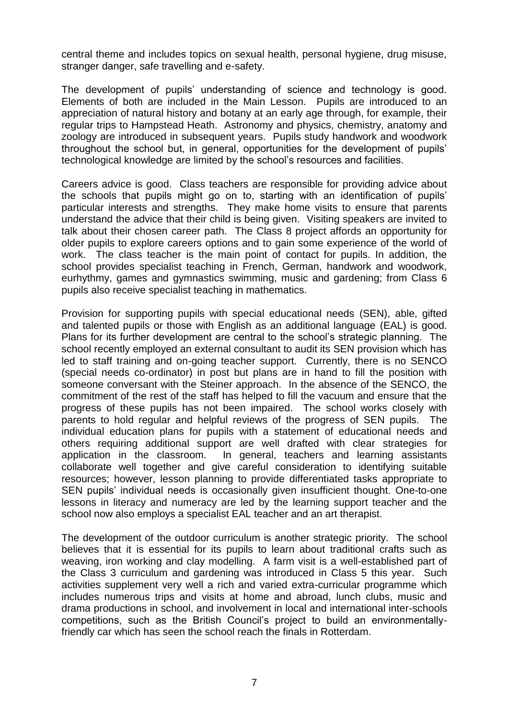central theme and includes topics on sexual health, personal hygiene, drug misuse, stranger danger, safe travelling and e-safety.

The development of pupils' understanding of science and technology is good. Elements of both are included in the Main Lesson. Pupils are introduced to an appreciation of natural history and botany at an early age through, for example, their regular trips to Hampstead Heath. Astronomy and physics, chemistry, anatomy and zoology are introduced in subsequent years. Pupils study handwork and woodwork throughout the school but, in general, opportunities for the development of pupils' technological knowledge are limited by the school's resources and facilities.

Careers advice is good. Class teachers are responsible for providing advice about the schools that pupils might go on to, starting with an identification of pupils' particular interests and strengths. They make home visits to ensure that parents understand the advice that their child is being given. Visiting speakers are invited to talk about their chosen career path. The Class 8 project affords an opportunity for older pupils to explore careers options and to gain some experience of the world of work. The class teacher is the main point of contact for pupils. In addition, the school provides specialist teaching in French, German, handwork and woodwork, eurhythmy, games and gymnastics swimming, music and gardening; from Class 6 pupils also receive specialist teaching in mathematics.

Provision for supporting pupils with special educational needs (SEN), able, gifted and talented pupils or those with English as an additional language (EAL) is good. Plans for its further development are central to the school's strategic planning. The school recently employed an external consultant to audit its SEN provision which has led to staff training and on-going teacher support. Currently, there is no SENCO (special needs co-ordinator) in post but plans are in hand to fill the position with someone conversant with the Steiner approach. In the absence of the SENCO, the commitment of the rest of the staff has helped to fill the vacuum and ensure that the progress of these pupils has not been impaired. The school works closely with parents to hold regular and helpful reviews of the progress of SEN pupils. The individual education plans for pupils with a statement of educational needs and others requiring additional support are well drafted with clear strategies for application in the classroom. In general, teachers and learning assistants collaborate well together and give careful consideration to identifying suitable resources; however, lesson planning to provide differentiated tasks appropriate to SEN pupils' individual needs is occasionally given insufficient thought. One-to-one lessons in literacy and numeracy are led by the learning support teacher and the school now also employs a specialist EAL teacher and an art therapist.

The development of the outdoor curriculum is another strategic priority. The school believes that it is essential for its pupils to learn about traditional crafts such as weaving, iron working and clay modelling. A farm visit is a well-established part of the Class 3 curriculum and gardening was introduced in Class 5 this year. Such activities supplement very well a rich and varied extra-curricular programme which includes numerous trips and visits at home and abroad, lunch clubs, music and drama productions in school, and involvement in local and international inter-schools competitions, such as the British Council's project to build an environmentallyfriendly car which has seen the school reach the finals in Rotterdam.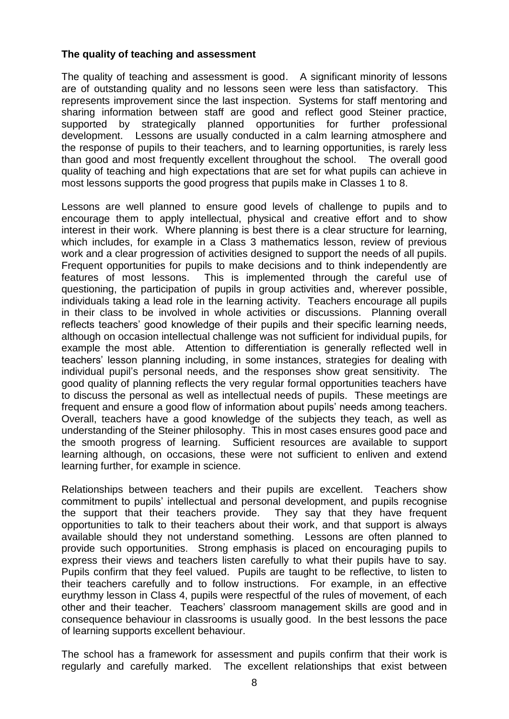## **The quality of teaching and assessment**

The quality of teaching and assessment is good. A significant minority of lessons are of outstanding quality and no lessons seen were less than satisfactory. This represents improvement since the last inspection. Systems for staff mentoring and sharing information between staff are good and reflect good Steiner practice, supported by strategically planned opportunities for further professional development. Lessons are usually conducted in a calm learning atmosphere and the response of pupils to their teachers, and to learning opportunities, is rarely less than good and most frequently excellent throughout the school. The overall good quality of teaching and high expectations that are set for what pupils can achieve in most lessons supports the good progress that pupils make in Classes 1 to 8.

Lessons are well planned to ensure good levels of challenge to pupils and to encourage them to apply intellectual, physical and creative effort and to show interest in their work. Where planning is best there is a clear structure for learning, which includes, for example in a Class 3 mathematics lesson, review of previous work and a clear progression of activities designed to support the needs of all pupils. Frequent opportunities for pupils to make decisions and to think independently are features of most lessons. This is implemented through the careful use of questioning, the participation of pupils in group activities and, wherever possible, individuals taking a lead role in the learning activity. Teachers encourage all pupils in their class to be involved in whole activities or discussions. Planning overall reflects teachers' good knowledge of their pupils and their specific learning needs, although on occasion intellectual challenge was not sufficient for individual pupils, for example the most able. Attention to differentiation is generally reflected well in teachers' lesson planning including, in some instances, strategies for dealing with individual pupil's personal needs, and the responses show great sensitivity. The good quality of planning reflects the very regular formal opportunities teachers have to discuss the personal as well as intellectual needs of pupils. These meetings are frequent and ensure a good flow of information about pupils' needs among teachers. Overall, teachers have a good knowledge of the subjects they teach, as well as understanding of the Steiner philosophy. This in most cases ensures good pace and the smooth progress of learning. Sufficient resources are available to support learning although, on occasions, these were not sufficient to enliven and extend learning further, for example in science.

Relationships between teachers and their pupils are excellent. Teachers show commitment to pupils' intellectual and personal development, and pupils recognise the support that their teachers provide. They say that they have frequent opportunities to talk to their teachers about their work, and that support is always available should they not understand something. Lessons are often planned to provide such opportunities. Strong emphasis is placed on encouraging pupils to express their views and teachers listen carefully to what their pupils have to say. Pupils confirm that they feel valued. Pupils are taught to be reflective, to listen to their teachers carefully and to follow instructions. For example, in an effective eurythmy lesson in Class 4, pupils were respectful of the rules of movement, of each other and their teacher. Teachers' classroom management skills are good and in consequence behaviour in classrooms is usually good. In the best lessons the pace of learning supports excellent behaviour.

The school has a framework for assessment and pupils confirm that their work is regularly and carefully marked. The excellent relationships that exist between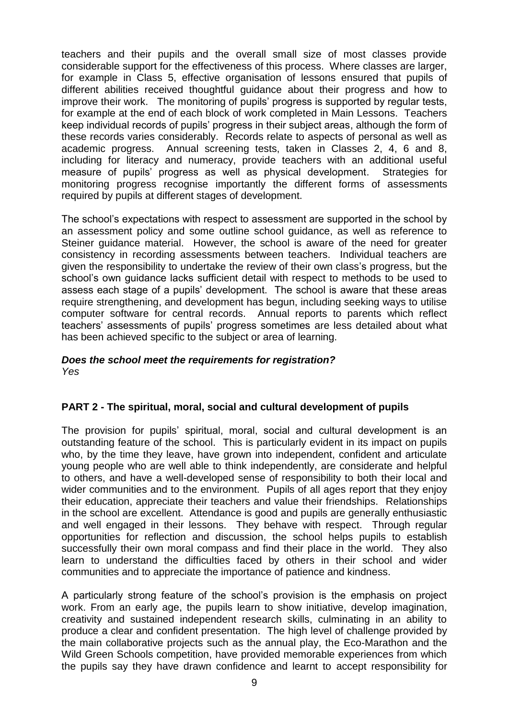teachers and their pupils and the overall small size of most classes provide considerable support for the effectiveness of this process. Where classes are larger, for example in Class 5, effective organisation of lessons ensured that pupils of different abilities received thoughtful guidance about their progress and how to improve their work. The monitoring of pupils' progress is supported by regular tests, for example at the end of each block of work completed in Main Lessons. Teachers keep individual records of pupils' progress in their subject areas, although the form of these records varies considerably. Records relate to aspects of personal as well as academic progress. Annual screening tests, taken in Classes 2, 4, 6 and 8, including for literacy and numeracy, provide teachers with an additional useful measure of pupils' progress as well as physical development. Strategies for monitoring progress recognise importantly the different forms of assessments required by pupils at different stages of development.

The school's expectations with respect to assessment are supported in the school by an assessment policy and some outline school guidance, as well as reference to Steiner guidance material. However, the school is aware of the need for greater consistency in recording assessments between teachers. Individual teachers are given the responsibility to undertake the review of their own class's progress, but the school's own guidance lacks sufficient detail with respect to methods to be used to assess each stage of a pupils' development. The school is aware that these areas require strengthening, and development has begun, including seeking ways to utilise computer software for central records. Annual reports to parents which reflect teachers' assessments of pupils' progress sometimes are less detailed about what has been achieved specific to the subject or area of learning.

#### *Does the school meet the requirements for registration? Yes*

## **PART 2 - The spiritual, moral, social and cultural development of pupils**

The provision for pupils' spiritual, moral, social and cultural development is an outstanding feature of the school. This is particularly evident in its impact on pupils who, by the time they leave, have grown into independent, confident and articulate young people who are well able to think independently, are considerate and helpful to others, and have a well-developed sense of responsibility to both their local and wider communities and to the environment. Pupils of all ages report that they enjoy their education, appreciate their teachers and value their friendships. Relationships in the school are excellent. Attendance is good and pupils are generally enthusiastic and well engaged in their lessons. They behave with respect. Through regular opportunities for reflection and discussion, the school helps pupils to establish successfully their own moral compass and find their place in the world. They also learn to understand the difficulties faced by others in their school and wider communities and to appreciate the importance of patience and kindness.

A particularly strong feature of the school's provision is the emphasis on project work. From an early age, the pupils learn to show initiative, develop imagination, creativity and sustained independent research skills, culminating in an ability to produce a clear and confident presentation. The high level of challenge provided by the main collaborative projects such as the annual play, the Eco-Marathon and the Wild Green Schools competition, have provided memorable experiences from which the pupils say they have drawn confidence and learnt to accept responsibility for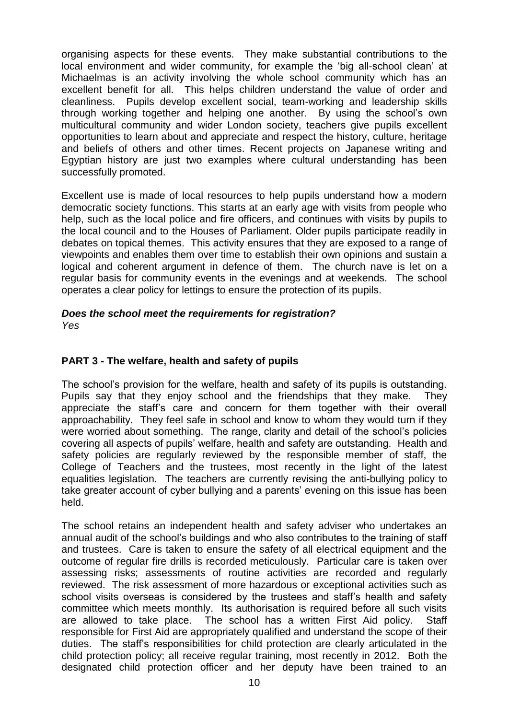organising aspects for these events. They make substantial contributions to the local environment and wider community, for example the 'big all-school clean' at Michaelmas is an activity involving the whole school community which has an excellent benefit for all. This helps children understand the value of order and cleanliness. Pupils develop excellent social, team-working and leadership skills through working together and helping one another. By using the school's own multicultural community and wider London society, teachers give pupils excellent opportunities to learn about and appreciate and respect the history, culture, heritage and beliefs of others and other times. Recent projects on Japanese writing and Egyptian history are just two examples where cultural understanding has been successfully promoted.

Excellent use is made of local resources to help pupils understand how a modern democratic society functions. This starts at an early age with visits from people who help, such as the local police and fire officers, and continues with visits by pupils to the local council and to the Houses of Parliament. Older pupils participate readily in debates on topical themes. This activity ensures that they are exposed to a range of viewpoints and enables them over time to establish their own opinions and sustain a logical and coherent argument in defence of them. The church nave is let on a regular basis for community events in the evenings and at weekends. The school operates a clear policy for lettings to ensure the protection of its pupils.

# *Does the school meet the requirements for registration?*

*Yes*

## **PART 3 - The welfare, health and safety of pupils**

The school's provision for the welfare, health and safety of its pupils is outstanding. Pupils say that they enjoy school and the friendships that they make. They appreciate the staff's care and concern for them together with their overall approachability. They feel safe in school and know to whom they would turn if they were worried about something. The range, clarity and detail of the school's policies covering all aspects of pupils' welfare, health and safety are outstanding. Health and safety policies are regularly reviewed by the responsible member of staff, the College of Teachers and the trustees, most recently in the light of the latest equalities legislation. The teachers are currently revising the anti-bullying policy to take greater account of cyber bullying and a parents' evening on this issue has been held.

The school retains an independent health and safety adviser who undertakes an annual audit of the school's buildings and who also contributes to the training of staff and trustees. Care is taken to ensure the safety of all electrical equipment and the outcome of regular fire drills is recorded meticulously. Particular care is taken over assessing risks; assessments of routine activities are recorded and regularly reviewed. The risk assessment of more hazardous or exceptional activities such as school visits overseas is considered by the trustees and staff's health and safety committee which meets monthly. Its authorisation is required before all such visits are allowed to take place. The school has a written First Aid policy. Staff responsible for First Aid are appropriately qualified and understand the scope of their duties. The staff's responsibilities for child protection are clearly articulated in the child protection policy; all receive regular training, most recently in 2012. Both the designated child protection officer and her deputy have been trained to an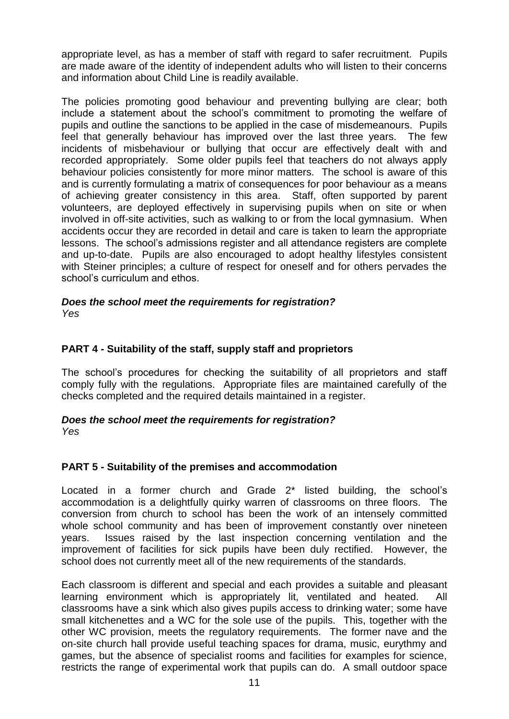appropriate level, as has a member of staff with regard to safer recruitment. Pupils are made aware of the identity of independent adults who will listen to their concerns and information about Child Line is readily available.

The policies promoting good behaviour and preventing bullying are clear; both include a statement about the school's commitment to promoting the welfare of pupils and outline the sanctions to be applied in the case of misdemeanours. Pupils feel that generally behaviour has improved over the last three years. The few incidents of misbehaviour or bullying that occur are effectively dealt with and recorded appropriately. Some older pupils feel that teachers do not always apply behaviour policies consistently for more minor matters. The school is aware of this and is currently formulating a matrix of consequences for poor behaviour as a means of achieving greater consistency in this area. Staff, often supported by parent volunteers, are deployed effectively in supervising pupils when on site or when involved in off-site activities, such as walking to or from the local gymnasium. When accidents occur they are recorded in detail and care is taken to learn the appropriate lessons. The school's admissions register and all attendance registers are complete and up-to-date. Pupils are also encouraged to adopt healthy lifestyles consistent with Steiner principles; a culture of respect for oneself and for others pervades the school's curriculum and ethos.

## *Does the school meet the requirements for registration?*

*Yes*

## **PART 4 - Suitability of the staff, supply staff and proprietors**

The school's procedures for checking the suitability of all proprietors and staff comply fully with the regulations. Appropriate files are maintained carefully of the checks completed and the required details maintained in a register.

## *Does the school meet the requirements for registration?*

*Yes*

## **PART 5 - Suitability of the premises and accommodation**

Located in a former church and Grade 2\* listed building, the school's accommodation is a delightfully quirky warren of classrooms on three floors. The conversion from church to school has been the work of an intensely committed whole school community and has been of improvement constantly over nineteen years. Issues raised by the last inspection concerning ventilation and the improvement of facilities for sick pupils have been duly rectified. However, the school does not currently meet all of the new requirements of the standards.

Each classroom is different and special and each provides a suitable and pleasant learning environment which is appropriately lit, ventilated and heated. All classrooms have a sink which also gives pupils access to drinking water; some have small kitchenettes and a WC for the sole use of the pupils. This, together with the other WC provision, meets the regulatory requirements. The former nave and the on-site church hall provide useful teaching spaces for drama, music, eurythmy and games, but the absence of specialist rooms and facilities for examples for science, restricts the range of experimental work that pupils can do. A small outdoor space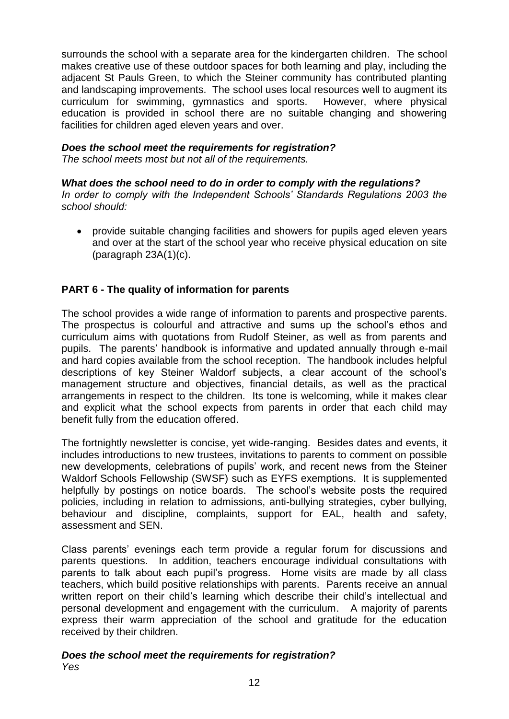surrounds the school with a separate area for the kindergarten children. The school makes creative use of these outdoor spaces for both learning and play, including the adjacent St Pauls Green, to which the Steiner community has contributed planting and landscaping improvements. The school uses local resources well to augment its curriculum for swimming, gymnastics and sports. However, where physical education is provided in school there are no suitable changing and showering facilities for children aged eleven years and over.

## *Does the school meet the requirements for registration?*

*The school meets most but not all of the requirements.*

## *What does the school need to do in order to comply with the regulations?*

*In order to comply with the Independent Schools' Standards Regulations 2003 the school should:*

 provide suitable changing facilities and showers for pupils aged eleven years and over at the start of the school year who receive physical education on site (paragraph 23A(1)(c).

## **PART 6 - The quality of information for parents**

The school provides a wide range of information to parents and prospective parents. The prospectus is colourful and attractive and sums up the school's ethos and curriculum aims with quotations from Rudolf Steiner, as well as from parents and pupils. The parents' handbook is informative and updated annually through e-mail and hard copies available from the school reception. The handbook includes helpful descriptions of key Steiner Waldorf subjects, a clear account of the school's management structure and objectives, financial details, as well as the practical arrangements in respect to the children. Its tone is welcoming, while it makes clear and explicit what the school expects from parents in order that each child may benefit fully from the education offered.

The fortnightly newsletter is concise, yet wide-ranging. Besides dates and events, it includes introductions to new trustees, invitations to parents to comment on possible new developments, celebrations of pupils' work, and recent news from the Steiner Waldorf Schools Fellowship (SWSF) such as EYFS exemptions. It is supplemented helpfully by postings on notice boards. The school's website posts the required policies, including in relation to admissions, anti-bullying strategies, cyber bullying, behaviour and discipline, complaints, support for EAL, health and safety, assessment and SEN.

Class parents' evenings each term provide a regular forum for discussions and parents questions. In addition, teachers encourage individual consultations with parents to talk about each pupil's progress. Home visits are made by all class teachers, which build positive relationships with parents. Parents receive an annual written report on their child's learning which describe their child's intellectual and personal development and engagement with the curriculum. A majority of parents express their warm appreciation of the school and gratitude for the education received by their children.

#### *Does the school meet the requirements for registration? Yes*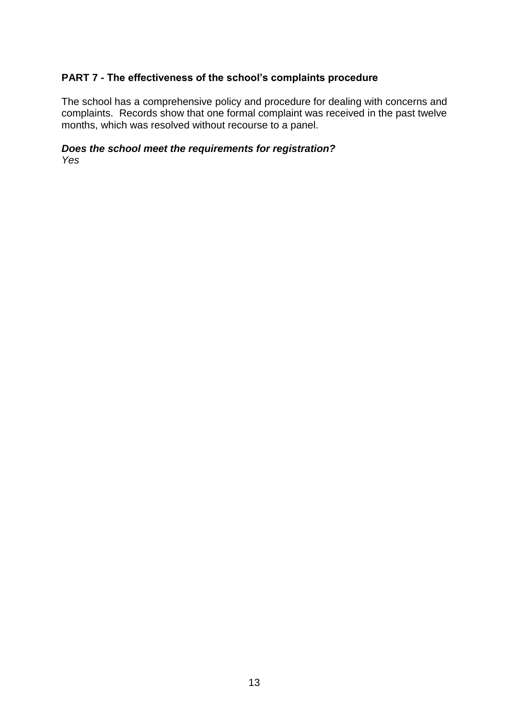## **PART 7 - The effectiveness of the school's complaints procedure**

The school has a comprehensive policy and procedure for dealing with concerns and complaints. Records show that one formal complaint was received in the past twelve months, which was resolved without recourse to a panel.

# *Does the school meet the requirements for registration?*

*Yes*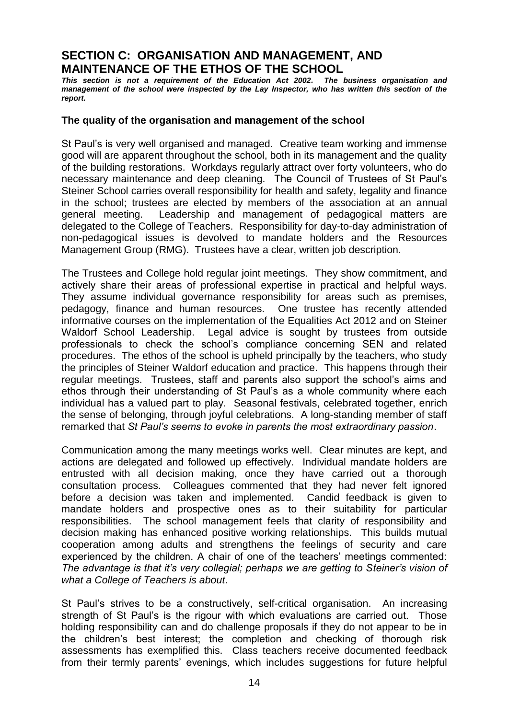## **SECTION C: ORGANISATION AND MANAGEMENT, AND MAINTENANCE OF THE ETHOS OF THE SCHOOL**

*This section is not a requirement of the Education Act 2002. The business organisation and management of the school were inspected by the Lay Inspector, who has written this section of the report.*

#### **The quality of the organisation and management of the school**

St Paul's is very well organised and managed. Creative team working and immense good will are apparent throughout the school, both in its management and the quality of the building restorations. Workdays regularly attract over forty volunteers, who do necessary maintenance and deep cleaning. The Council of Trustees of St Paul's Steiner School carries overall responsibility for health and safety, legality and finance in the school; trustees are elected by members of the association at an annual general meeting. Leadership and management of pedagogical matters are delegated to the College of Teachers. Responsibility for day-to-day administration of non-pedagogical issues is devolved to mandate holders and the Resources Management Group (RMG). Trustees have a clear, written job description.

The Trustees and College hold regular joint meetings. They show commitment, and actively share their areas of professional expertise in practical and helpful ways. They assume individual governance responsibility for areas such as premises, pedagogy, finance and human resources. One trustee has recently attended informative courses on the implementation of the Equalities Act 2012 and on Steiner Waldorf School Leadership. Legal advice is sought by trustees from outside professionals to check the school's compliance concerning SEN and related procedures. The ethos of the school is upheld principally by the teachers, who study the principles of Steiner Waldorf education and practice. This happens through their regular meetings. Trustees, staff and parents also support the school's aims and ethos through their understanding of St Paul's as a whole community where each individual has a valued part to play. Seasonal festivals, celebrated together, enrich the sense of belonging, through joyful celebrations. A long-standing member of staff remarked that *St Paul's seems to evoke in parents the most extraordinary passion*.

Communication among the many meetings works well. Clear minutes are kept, and actions are delegated and followed up effectively. Individual mandate holders are entrusted with all decision making, once they have carried out a thorough consultation process. Colleagues commented that they had never felt ignored before a decision was taken and implemented. Candid feedback is given to mandate holders and prospective ones as to their suitability for particular responsibilities. The school management feels that clarity of responsibility and decision making has enhanced positive working relationships. This builds mutual cooperation among adults and strengthens the feelings of security and care experienced by the children. A chair of one of the teachers' meetings commented: *The advantage is that it's very collegial; perhaps we are getting to Steiner's vision of what a College of Teachers is about*.

St Paul's strives to be a constructively, self-critical organisation. An increasing strength of St Paul's is the rigour with which evaluations are carried out. Those holding responsibility can and do challenge proposals if they do not appear to be in the children's best interest; the completion and checking of thorough risk assessments has exemplified this. Class teachers receive documented feedback from their termly parents' evenings, which includes suggestions for future helpful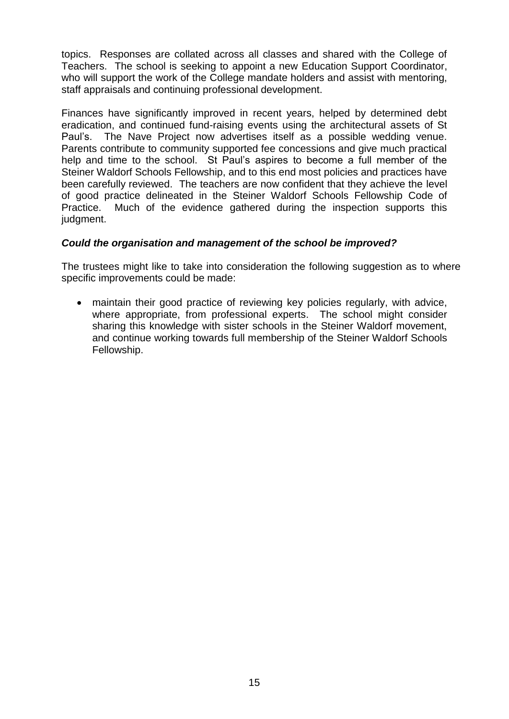topics. Responses are collated across all classes and shared with the College of Teachers. The school is seeking to appoint a new Education Support Coordinator, who will support the work of the College mandate holders and assist with mentoring, staff appraisals and continuing professional development.

Finances have significantly improved in recent years, helped by determined debt eradication, and continued fund-raising events using the architectural assets of St Paul's. The Nave Project now advertises itself as a possible wedding venue. Parents contribute to community supported fee concessions and give much practical help and time to the school. St Paul's aspires to become a full member of the Steiner Waldorf Schools Fellowship, and to this end most policies and practices have been carefully reviewed. The teachers are now confident that they achieve the level of good practice delineated in the Steiner Waldorf Schools Fellowship Code of Practice. Much of the evidence gathered during the inspection supports this judgment.

## *Could the organisation and management of the school be improved?*

The trustees might like to take into consideration the following suggestion as to where specific improvements could be made:

 maintain their good practice of reviewing key policies regularly, with advice, where appropriate, from professional experts. The school might consider sharing this knowledge with sister schools in the Steiner Waldorf movement, and continue working towards full membership of the Steiner Waldorf Schools Fellowship.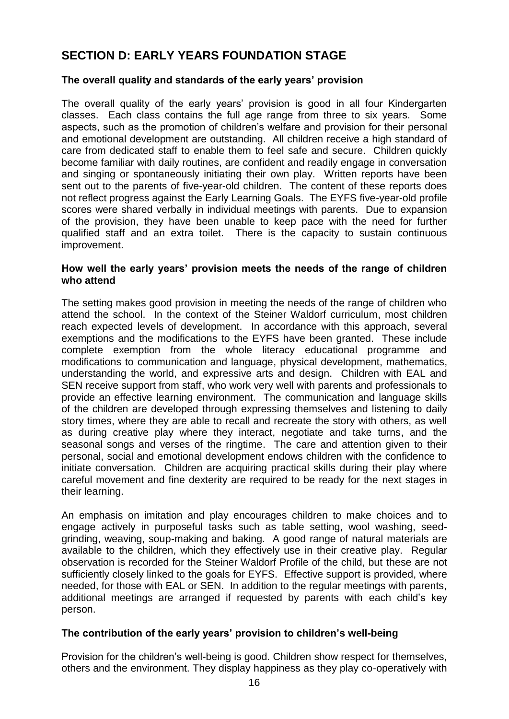# **SECTION D: EARLY YEARS FOUNDATION STAGE**

## **The overall quality and standards of the early years' provision**

The overall quality of the early years' provision is good in all four Kindergarten classes. Each class contains the full age range from three to six years. Some aspects, such as the promotion of children's welfare and provision for their personal and emotional development are outstanding. All children receive a high standard of care from dedicated staff to enable them to feel safe and secure. Children quickly become familiar with daily routines, are confident and readily engage in conversation and singing or spontaneously initiating their own play. Written reports have been sent out to the parents of five-year-old children. The content of these reports does not reflect progress against the Early Learning Goals. The EYFS five-year-old profile scores were shared verbally in individual meetings with parents. Due to expansion of the provision, they have been unable to keep pace with the need for further qualified staff and an extra toilet. There is the capacity to sustain continuous improvement.

#### **How well the early years' provision meets the needs of the range of children who attend**

The setting makes good provision in meeting the needs of the range of children who attend the school. In the context of the Steiner Waldorf curriculum, most children reach expected levels of development. In accordance with this approach, several exemptions and the modifications to the EYFS have been granted. These include complete exemption from the whole literacy educational programme and modifications to communication and language, physical development, mathematics, understanding the world, and expressive arts and design. Children with EAL and SEN receive support from staff, who work very well with parents and professionals to provide an effective learning environment. The communication and language skills of the children are developed through expressing themselves and listening to daily story times, where they are able to recall and recreate the story with others, as well as during creative play where they interact, negotiate and take turns, and the seasonal songs and verses of the ringtime. The care and attention given to their personal, social and emotional development endows children with the confidence to initiate conversation. Children are acquiring practical skills during their play where careful movement and fine dexterity are required to be ready for the next stages in their learning.

An emphasis on imitation and play encourages children to make choices and to engage actively in purposeful tasks such as table setting, wool washing, seedgrinding, weaving, soup-making and baking. A good range of natural materials are available to the children, which they effectively use in their creative play. Regular observation is recorded for the Steiner Waldorf Profile of the child, but these are not sufficiently closely linked to the goals for EYFS. Effective support is provided, where needed, for those with EAL or SEN. In addition to the regular meetings with parents, additional meetings are arranged if requested by parents with each child's key person.

## **The contribution of the early years' provision to children's well-being**

Provision for the children's well-being is good. Children show respect for themselves, others and the environment. They display happiness as they play co-operatively with